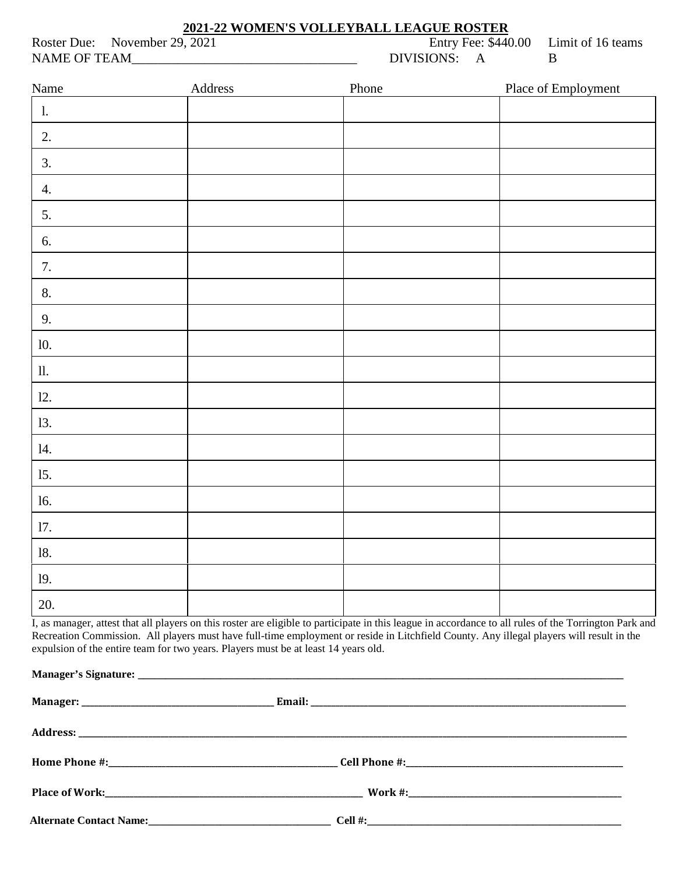## **2021-22 WOMEN'S VOLLEYBALL LEAGUE ROSTER**

Roster Due: November 29, 2021 Entry Fee: \$440.00 Limit of 16 teams<br>NAME OF TEAM DIVISIONS: A NAME OF TEAM DIVISIONS: A B

| Name           | Address | Phone | Place of Employment                                                                                                                                   |
|----------------|---------|-------|-------------------------------------------------------------------------------------------------------------------------------------------------------|
| $\mathbf{1}$ . |         |       |                                                                                                                                                       |
| 2.             |         |       |                                                                                                                                                       |
| 3.             |         |       |                                                                                                                                                       |
| 4.             |         |       |                                                                                                                                                       |
| 5.             |         |       |                                                                                                                                                       |
| 6.             |         |       |                                                                                                                                                       |
| 7.             |         |       |                                                                                                                                                       |
| $8. \,$        |         |       |                                                                                                                                                       |
| 9.             |         |       |                                                                                                                                                       |
| 10.            |         |       |                                                                                                                                                       |
| $\,$ 11.       |         |       |                                                                                                                                                       |
| 12.            |         |       |                                                                                                                                                       |
| 13.            |         |       |                                                                                                                                                       |
| 14.            |         |       |                                                                                                                                                       |
| 15.            |         |       |                                                                                                                                                       |
| 16.            |         |       |                                                                                                                                                       |
| 17.            |         |       |                                                                                                                                                       |
| $18. \,$       |         |       |                                                                                                                                                       |
| 19.            |         |       |                                                                                                                                                       |
| 20.            |         |       |                                                                                                                                                       |
|                |         |       | L as manager, attest that all players on this roster are eligible to participate in this league in accordance to all rules of the Torrington Park and |

I, as manager, attest that all players on this roster are eligible to participate in this league in accordance to all rules of the Torrington Park and Recreation Commission. All players must have full-time employment or reside in Litchfield County. Any illegal players will result in the expulsion of the entire team for two years. Players must be at least 14 years old.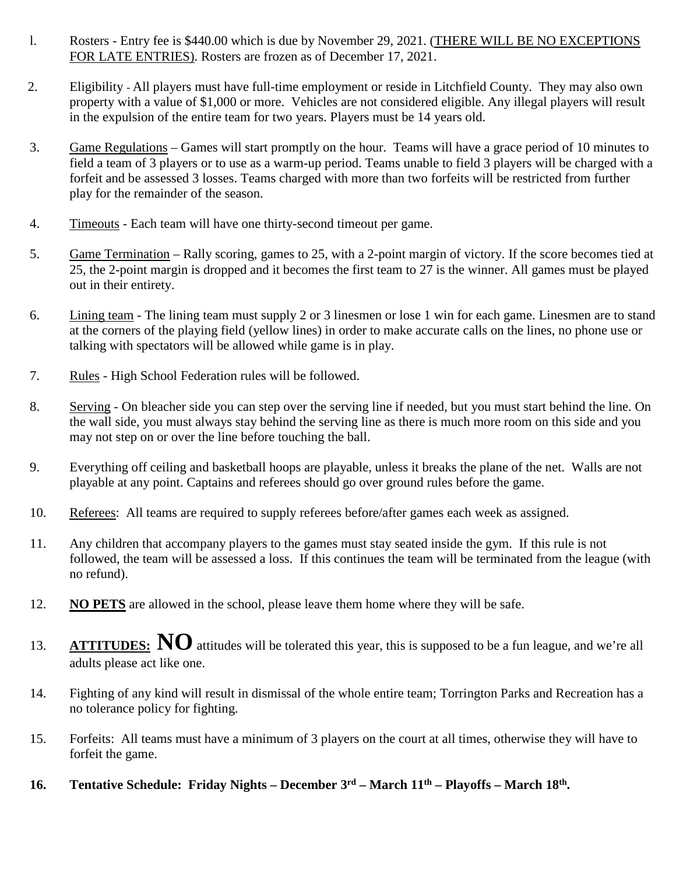- l. Rosters Entry fee is \$440.00 which is due by November 29, 2021. (THERE WILL BE NO EXCEPTIONS FOR LATE ENTRIES). Rosters are frozen as of December 17, 2021.
- 2. Eligibility All players must have full-time employment or reside in Litchfield County. They may also own property with a value of \$1,000 or more. Vehicles are not considered eligible. Any illegal players will result in the expulsion of the entire team for two years. Players must be 14 years old.
- 3. Game Regulations Games will start promptly on the hour. Teams will have a grace period of 10 minutes to field a team of 3 players or to use as a warm-up period. Teams unable to field 3 players will be charged with a forfeit and be assessed 3 losses. Teams charged with more than two forfeits will be restricted from further play for the remainder of the season.
- 4. Timeouts Each team will have one thirty-second timeout per game.
- 5. Game Termination Rally scoring, games to 25, with a 2-point margin of victory. If the score becomes tied at 25, the 2-point margin is dropped and it becomes the first team to 27 is the winner. All games must be played out in their entirety.
- 6. Lining team The lining team must supply 2 or 3 linesmen or lose 1 win for each game. Linesmen are to stand at the corners of the playing field (yellow lines) in order to make accurate calls on the lines, no phone use or talking with spectators will be allowed while game is in play.
- 7. Rules High School Federation rules will be followed.
- 8. Serving On bleacher side you can step over the serving line if needed, but you must start behind the line. On the wall side, you must always stay behind the serving line as there is much more room on this side and you may not step on or over the line before touching the ball.
- 9. Everything off ceiling and basketball hoops are playable, unless it breaks the plane of the net. Walls are not playable at any point. Captains and referees should go over ground rules before the game.
- 10. Referees: All teams are required to supply referees before/after games each week as assigned.
- 11. Any children that accompany players to the games must stay seated inside the gym. If this rule is not followed, the team will be assessed a loss. If this continues the team will be terminated from the league (with no refund).
- 12. **NO PETS** are allowed in the school, please leave them home where they will be safe.
- 13. **ATTITUDES:** NO attitudes will be tolerated this year, this is supposed to be a fun league, and we're all adults please act like one.
- 14. Fighting of any kind will result in dismissal of the whole entire team; Torrington Parks and Recreation has a no tolerance policy for fighting.
- 15. Forfeits: All teams must have a minimum of 3 players on the court at all times, otherwise they will have to forfeit the game.
- **16. Tentative Schedule: Friday Nights – December 3rd – March 11th – Playoffs – March 18th.**